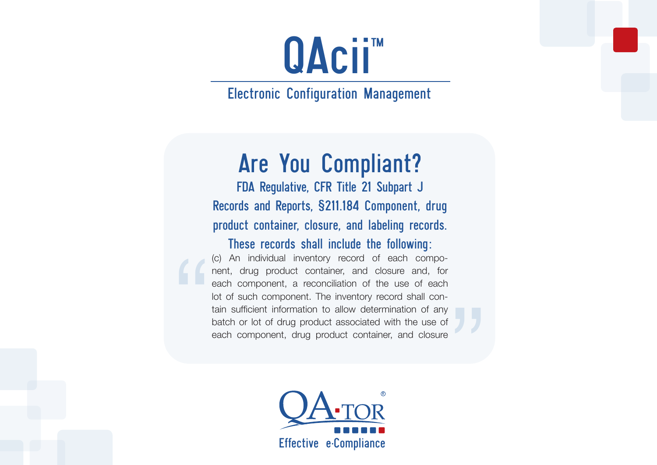# QAcii™

Electronic Configuration Management

# Are You Compliant?

FDA Regulative, CFR Title 21 Subpart J Records and Reports, §211.184 Component, drug product container, closure, and labeling records.

These records shall include the following:

" (c) An individual inventory record of each component, drug product container, and closure and, for each component, a reconciliation of the use of each lot of such component. The inventory record shall contain sufficient information to allow determination of any batch or lot of drug product associated with the use of each component, drug product container, and closure

,<br>"

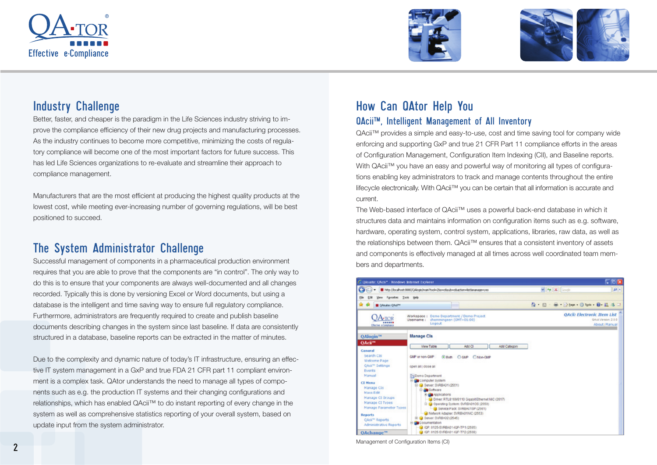





# Industry Challenge

Better, faster, and cheaper is the paradigm in the Life Sciences industry striving to improve the compliance efficiency of their new drug projects and manufacturing processes. As the industry continues to become more competitive, minimizing the costs of regulatory compliance will become one of the most important factors for future success. This has led Life Sciences organizations to re-evaluate and streamline their approach to compliance management.

Manufacturers that are the most efficient at producing the highest quality products at the lowest cost, while meeting ever-increasing number of governing regulations, will be best positioned to succeed.

# The System Administrator Challenge

Successful management of components in a pharmaceutical production environment requires that you are able to prove that the components are "in control". The only way to do this is to ensure that your components are always well-documented and all changes recorded. Typically this is done by versioning Excel or Word documents, but using a database is the intelligent and time saving way to ensure full regulatory compliance. Furthermore, administrators are frequently required to create and publish baseline documents describing changes in the system since last baseline. If data are consistently structured in a database, baseline reports can be extracted in the matter of minutes.

Due to the complexity and dynamic nature of today's IT infrastructure, ensuring an effective IT system management in a GxP and true FDA 21 CFR part 11 compliant environment is a complex task. QAtor understands the need to manage all types of components such as e.g. the production IT systems and their changing configurations and relationships, which has enabled QAcii™ to do instant reporting of every change in the system as well as comprehensive statistics reporting of your overall system, based on update input from the system administrator.

## How Can QAtor Help You QAcii™, Intelligent Management of All Inventory

QAcii™ provides a simple and easy-to-use, cost and time saving tool for company wide enforcing and supporting GxP and true 21 CFR Part 11 compliance efforts in the areas of Configuration Management, Configuration Item Indexing (CII), and Baseline reports. With QAcii™ you have an easy and powerful way of monitoring all types of configurations enabling key administrators to track and manage contents throughout the entire lifecycle electronically. With QAcii™ you can be certain that all information is accurate and current.

The Web-based interface of QAcii™ uses a powerful back-end database in which it structures data and maintains information on configuration items such as e.g. software, hardware, operating system, control system, applications, libraries, raw data, as well as the relationships between them. QAcii™ ensures that a consistent inventory of assets and components is effectively managed at all times across well coordinated team members and departments.



Management of Configuration Items (CI)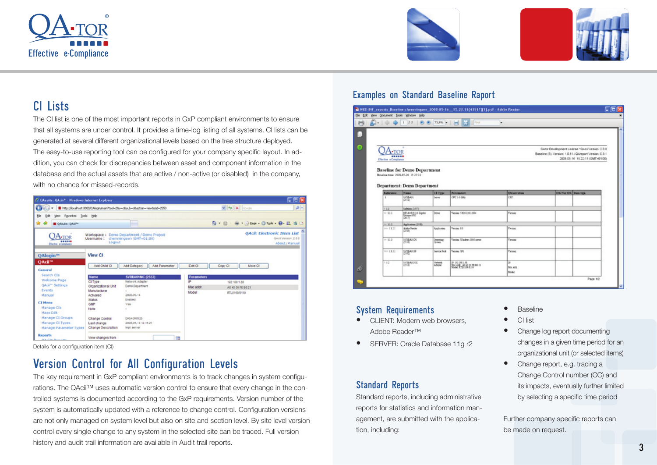



# CI Lists

The CI list is one of the most important reports in GxP compliant environments to ensure that all systems are under control. It provides a time-log listing of all systems. CI lists can be generated at several different organizational levels based on the tree structure deployed. The easy-to-use reporting tool can be configured for your company specific layout. In addition, you can check for discrepancies between asset and component information in the database and the actual assets that are active / non-active (or disabled) in the company, with no chance for missed-records.

| C OAsaite: QAcii <sup>a</sup> - Windows Internet Explorer |                                            |                                                                          |                        |                                                            | F E X                                                                       |
|-----------------------------------------------------------|--------------------------------------------|--------------------------------------------------------------------------|------------------------|------------------------------------------------------------|-----------------------------------------------------------------------------|
|                                                           |                                            | Ntp://localhost.t000/CAlogin/main7txol=26s=cibsub=dbaction=viewbold=2953 |                        | $\mathbf{v}$ $\mathbf{t}_{\mathbf{P}}$ $\mathbf{X}$ Conste |                                                                             |
| Ble<br>Fgyorites Tools Help<br>Edit                       |                                            |                                                                          |                        |                                                            |                                                                             |
| Coloules OAct <sup>on</sup>                               |                                            |                                                                          |                        | ◎ 日 ● ○100 ◎100 ◎ 以 3 □                                    |                                                                             |
| <b>NTOR</b><br>------<br><b>Efective eConstiance</b>      | Usemame: chemmingsen (GMT+01:00)<br>Logout | Workspace: Demo Department / Demo Project                                |                        |                                                            | <b>QAcil: Electronic Item List</b><br>GALL Version: 2.0-0<br>About   Manual |
| QAlogin™                                                  | <b>View CI</b>                             |                                                                          |                        |                                                            |                                                                             |
| QAcii <sup>va</sup>                                       |                                            |                                                                          |                        |                                                            |                                                                             |
| General                                                   | Add Child Cl                               | Add Parameter<br>Add Category                                            | Edit Cl                | Copy CI<br>Move Cl.                                        |                                                                             |
| Search Clo                                                |                                            |                                                                          |                        |                                                            |                                                                             |
| Welcome Page                                              | Name<br>ClTvpe                             | <b>SVRIMOSNIC (2553)</b><br>Network Adapter                              | <b>Parameters</b><br>P |                                                            |                                                                             |
| QAcii <sup>na</sup> Settings                              | Organizational Unit                        | Demo Department                                                          | Mac addr               | 192.168.1.88                                               |                                                                             |
| Events                                                    | Manufacturer                               | a.                                                                       |                        | A5 43 00 FE 85 21                                          |                                                                             |
| Manual                                                    | Artivated                                  | 2038-05-14                                                               | Model                  | RTLE169/8110                                               |                                                                             |
|                                                           | Status                                     | Enabled                                                                  |                        |                                                            |                                                                             |
| <b>CT Manu</b>                                            | <b>GMP</b>                                 | Yes.                                                                     |                        |                                                            |                                                                             |
| Manage Cli                                                | Note                                       | $\sim$                                                                   |                        |                                                            |                                                                             |
| Mass Edit                                                 |                                            |                                                                          |                        |                                                            |                                                                             |
| Manage CI Groups                                          | Change Control                             | DKS4CR0125                                                               |                        |                                                            |                                                                             |
| Manage CI Types                                           | Last change                                | 2038-05-14 12:15:27                                                      |                        |                                                            |                                                                             |
| Manage Parameter Types                                    | Change Description                         | Impl. seriver                                                            |                        |                                                            |                                                                             |
| <b>Reports</b>                                            | View changes from                          |                                                                          |                        |                                                            |                                                                             |
| <b>AANDM BARNER</b>                                       |                                            |                                                                          |                        |                                                            |                                                                             |

Details for a configuration item (CI)

# Version Control for All Configuration Levels

The key requirement in GxP compliant environments is to track changes in system configurations. The QAcii™ uses automatic version control to ensure that every change in the controlled systems is documented according to the GxP requirements. Version number of the system is automatically updated with a reference to change control. Configuration versions are not only managed on system level but also on site and section level. By site level version control every single change to any system in the selected site can be traced. Full version history and audit trail information are available in Audit trail reports.

#### Examples on Standard Baseline Raport

|                 | Ele Edt yew Document Tools Window Help                                    |                    |                             |                    |                                                                                                                                               |
|-----------------|---------------------------------------------------------------------------|--------------------|-----------------------------|--------------------|-----------------------------------------------------------------------------------------------------------------------------------------------|
| a L             |                                                                           |                    | 1 12 0 0 73.9%   日 2 704    |                    |                                                                                                                                               |
|                 |                                                                           |                    |                             |                    |                                                                                                                                               |
|                 | .TOR<br><br><b>Elective a Congliance</b>                                  |                    |                             |                    | GAtor Development License / GAcii Version: 2.0.8<br>Baseline (S), Version: 1.0.11 J QAreport Version: 0.9.1<br>2008-05-16 15:22:11/GMT-01:00/ |
|                 |                                                                           |                    |                             |                    |                                                                                                                                               |
|                 | <b>Baseline for Demo Department</b><br>Broslins time: 2008-05-16 15:22:11 |                    |                             |                    |                                                                                                                                               |
|                 |                                                                           |                    |                             |                    |                                                                                                                                               |
|                 | <b>Department: Demo Department</b>                                        |                    |                             |                    |                                                                                                                                               |
| Reference       | Name.                                                                     | <b>CEType</b>      | Parameters                  | <b>Observation</b> | OK'Net OK Dancings                                                                                                                            |
| ٠,              |                                                                           | land               | CPC 3-0 08L                 | CR2                |                                                                                                                                               |
|                 | <b>IVERAIS</b>                                                            |                    |                             |                    |                                                                                                                                               |
| 11              | Sadware (2577)                                                            |                    |                             |                    |                                                                                                                                               |
| >111            | RT, ELGI 110 Ogele<br>Elizabet 100<br>(28.1)                              | Dowe               | Yenies: 5.6301300.3004      | Venise             |                                                                                                                                               |
| $-113$          | Applications (2012)                                                       |                    |                             |                    |                                                                                                                                               |
| too 13.21       | Addw Render<br>(2141)                                                     | Application        | Version 8.0                 | <b>Vesine</b>      |                                                                                                                                               |
| $10 - 11.3$     | SVEBANIOS<br>CHIN                                                         | Openting<br>Women  | Venise: Vindow: 3000 server | Vening             |                                                                                                                                               |
| $300 - 1.1.1.1$ | <b>Ballyce</b>                                                            | <b>Seven Pack</b>  | Yanasa 121                  | Venant             |                                                                                                                                               |
| >12             | <b>WEBAUDGE</b>                                                           | Vehicle<br>Adapter |                             | SR.                |                                                                                                                                               |
|                 |                                                                           |                    | PROMIS<br>Contractor        | Mix adir:<br>Mateb |                                                                                                                                               |

#### System Requirements

- CLIENT: Modern web browsers Adobe Reader™
- SERVER: Oracle Database 11g r2

#### Standard Reports

Standard reports, including administrative reports for statistics and information management, are submitted with the application, including:

- Baseline
- CI list
- Change log report documenting changes in a given time period for an organizational unit (or selected items)
- Change report, e.g. tracing a Change Control number (CC) and its impacts, eventually further limited by selecting a specific time period

Further company specific reports can be made on request.